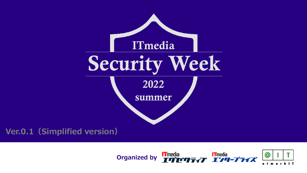



# Security Week 2022 summer ITmedia

# **Ver.0.1(Simplified version)**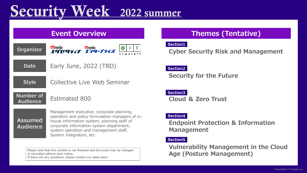# Security Week 2022 summer

## **Event Overview <b>Themes** (Tentative)

## **Cyber Security Risk and Management**

## **Endpoint Protection & Information**

Please note that this content is not finalized and the event may be changed or cancelled without prior notice. If there are any questions, please contact our sales team.



## **Vulnerability Management in the Cloud Age (Posture Management)**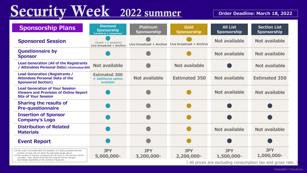# Security Week 2022 summer

| <b>Sponsorship Plans</b>                                                                                                                                                                                                                                                                                                                    | <b>Diamond</b><br><b>Sponsorship</b><br>(Limited to 2 companies) | <b>Platinum</b><br><b>Sponsorship</b>             | Gold<br><b>Sponsorship</b> |  |
|---------------------------------------------------------------------------------------------------------------------------------------------------------------------------------------------------------------------------------------------------------------------------------------------------------------------------------------------|------------------------------------------------------------------|---------------------------------------------------|----------------------------|--|
| <b>Sponsored Session</b>                                                                                                                                                                                                                                                                                                                    | $(Guest + 2 sessions)$<br>Live broadcast + Archive               | Live broadcast + Archive Live broadcast + Archive |                            |  |
| <b>Questionnaire by</b><br><b>Sponsor</b>                                                                                                                                                                                                                                                                                                   |                                                                  |                                                   |                            |  |
| <b>Lead Generation (All of the Registrants</b><br>/ Attendees Personal Data) * Estimated 800                                                                                                                                                                                                                                                | <b>Not available</b>                                             |                                                   | Not available              |  |
| <b>Lead Generation (Registrants /</b><br><b>Attendees Personal Data of the</b><br><b>Sponsored Section)</b>                                                                                                                                                                                                                                 | <b>Estimated 300</b><br><b>※ Additional option</b><br>available  | <b>Not available</b>                              | <b>Estimated 350</b>       |  |
| <b>Lead Generation of Your Session</b><br><b>Viewers and Provision of Online Report</b><br><b>Site of Your Session</b>                                                                                                                                                                                                                      |                                                                  |                                                   |                            |  |
| <b>Sharing the results of</b><br><b>Pre-questionnaire</b>                                                                                                                                                                                                                                                                                   |                                                                  |                                                   |                            |  |
| <b>Insertion of Sponsor</b><br><b>Company's Logo</b>                                                                                                                                                                                                                                                                                        |                                                                  |                                                   |                            |  |
| <b>Distribution of Related</b><br><b>Materials</b>                                                                                                                                                                                                                                                                                          |                                                                  |                                                   |                            |  |
| <b>Event Report</b>                                                                                                                                                                                                                                                                                                                         |                                                                  |                                                   |                            |  |
| XIf the order is provided after the deadline, it is highly possible that the<br>number of leads will not reach the estimated target above.<br>XIf the number of sponsor companies do not reach 4, this seminar will be<br>cancelled. Also, please note that the program will be changed<br>accordingly depending on the number of sponsors. | <b>JPY</b><br>5,000,000-                                         | <b>JPY</b><br>3,200,000-                          | <b>JPY</b><br>2,200,000-   |  |
|                                                                                                                                                                                                                                                                                                                                             |                                                                  |                                                   | (All prices are 6          |  |



**Copyright © ITmedia Inc.**

### **Order Deadline: March 18, 2022**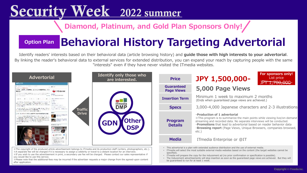Identify readers' interests based on their behavioral data (article browsing history) and **guide those with high interests to your advertorial**. By linking the reader's behavioral data to external services for extended distribution, you can expand your reach by capturing people with the same "interests" even if they have never visited the ITmedia websites.

※A separate fee will be charged if it is necessary to assign a celebrity or travel to a distant location for an interview.

**Insertion Term** Minimum 1 week to maximum 2 months (Ends when guaranteed page views are achieved.)

※If you wish to use the advertisement in print, a secondary use fee will be charged. Please contact our sales representative if you would like to use this service.



※Please note that the additional fees may be incurred if the advertiser requests a major change from the agreed-upon content after application.



### **Specs** 3,000-4,000 Japanese characters and 2-3 illustrations

### **・Production of 1 advertorial**

※This program is to summarize the main points while viewing live/on-demand streaming and recorded data. No separate interviews will be conducted. ・**Promotions** that lead to advertorial based on reader behavior data ・**Browsing report** (Page Views, Unique Browsers, companies browsed,



• ITmedia will select the most suitable external media websites based on the content (the target websites cannot be

specified).

• ITmedia will prepare the copy for the inducement ad (no prior confirmation or specification is possible). • The Inducement advertisements will stop insertion as soon as the guaranteed page views are achieved. But they will

be guaranteed to run for at least 1 week.

# Security Week 2022 summer

## **Diamond, Platinum, and Gold Plan Sponsors Only!**

# **Behavioral History Targeting Advertorial**